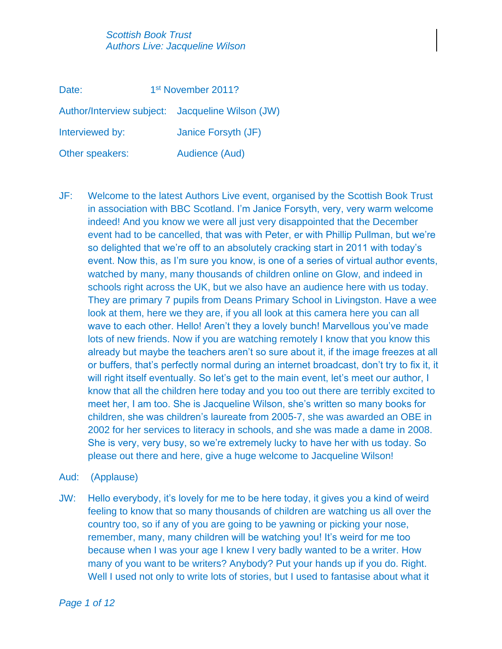| Date:           | 1 <sup>st</sup> November 2011? |                                                  |
|-----------------|--------------------------------|--------------------------------------------------|
|                 |                                | Author/Interview subject: Jacqueline Wilson (JW) |
| Interviewed by: |                                | Janice Forsyth (JF)                              |
| Other speakers: |                                | Audience (Aud)                                   |

- JF: Welcome to the latest Authors Live event, organised by the Scottish Book Trust in association with BBC Scotland. I'm Janice Forsyth, very, very warm welcome indeed! And you know we were all just very disappointed that the December event had to be cancelled, that was with Peter, er with Phillip Pullman, but we're so delighted that we're off to an absolutely cracking start in 2011 with today's event. Now this, as I'm sure you know, is one of a series of virtual author events, watched by many, many thousands of children online on Glow, and indeed in schools right across the UK, but we also have an audience here with us today. They are primary 7 pupils from Deans Primary School in Livingston. Have a wee look at them, here we they are, if you all look at this camera here you can all wave to each other. Hello! Aren't they a lovely bunch! Marvellous you've made lots of new friends. Now if you are watching remotely I know that you know this already but maybe the teachers aren't so sure about it, if the image freezes at all or buffers, that's perfectly normal during an internet broadcast, don't try to fix it, it will right itself eventually. So let's get to the main event, let's meet our author, I know that all the children here today and you too out there are terribly excited to meet her, I am too. She is Jacqueline Wilson, she's written so many books for children, she was children's laureate from 2005-7, she was awarded an OBE in 2002 for her services to literacy in schools, and she was made a dame in 2008. She is very, very busy, so we're extremely lucky to have her with us today. So please out there and here, give a huge welcome to Jacqueline Wilson!
- Aud: (Applause)
- JW: Hello everybody, it's lovely for me to be here today, it gives you a kind of weird feeling to know that so many thousands of children are watching us all over the country too, so if any of you are going to be yawning or picking your nose, remember, many, many children will be watching you! It's weird for me too because when I was your age I knew I very badly wanted to be a writer. How many of you want to be writers? Anybody? Put your hands up if you do. Right. Well I used not only to write lots of stories, but I used to fantasise about what it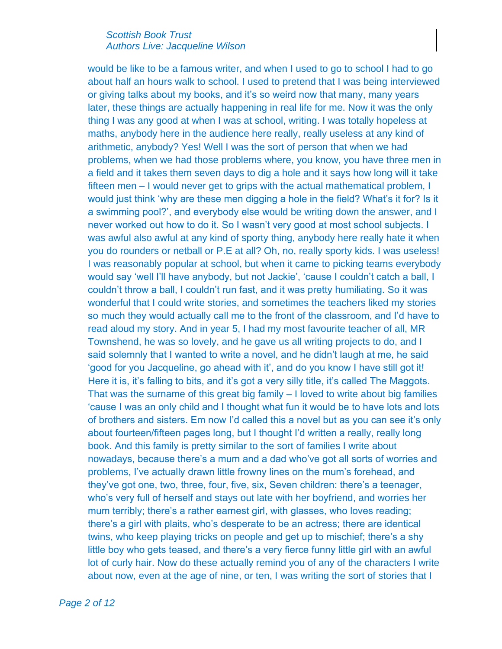would be like to be a famous writer, and when I used to go to school I had to go about half an hours walk to school. I used to pretend that I was being interviewed or giving talks about my books, and it's so weird now that many, many years later, these things are actually happening in real life for me. Now it was the only thing I was any good at when I was at school, writing. I was totally hopeless at maths, anybody here in the audience here really, really useless at any kind of arithmetic, anybody? Yes! Well I was the sort of person that when we had problems, when we had those problems where, you know, you have three men in a field and it takes them seven days to dig a hole and it says how long will it take fifteen men – I would never get to grips with the actual mathematical problem, I would just think 'why are these men digging a hole in the field? What's it for? Is it a swimming pool?', and everybody else would be writing down the answer, and I never worked out how to do it. So I wasn't very good at most school subjects. I was awful also awful at any kind of sporty thing, anybody here really hate it when you do rounders or netball or P.E at all? Oh, no, really sporty kids. I was useless! I was reasonably popular at school, but when it came to picking teams everybody would say 'well I'll have anybody, but not Jackie', 'cause I couldn't catch a ball, I couldn't throw a ball, I couldn't run fast, and it was pretty humiliating. So it was wonderful that I could write stories, and sometimes the teachers liked my stories so much they would actually call me to the front of the classroom, and I'd have to read aloud my story. And in year 5, I had my most favourite teacher of all, MR Townshend, he was so lovely, and he gave us all writing projects to do, and I said solemnly that I wanted to write a novel, and he didn't laugh at me, he said 'good for you Jacqueline, go ahead with it', and do you know I have still got it! Here it is, it's falling to bits, and it's got a very silly title, it's called The Maggots. That was the surname of this great big family – I loved to write about big families 'cause I was an only child and I thought what fun it would be to have lots and lots of brothers and sisters. Em now I'd called this a novel but as you can see it's only about fourteen/fifteen pages long, but I thought I'd written a really, really long book. And this family is pretty similar to the sort of families I write about nowadays, because there's a mum and a dad who've got all sorts of worries and problems, I've actually drawn little frowny lines on the mum's forehead, and they've got one, two, three, four, five, six, Seven children: there's a teenager, who's very full of herself and stays out late with her boyfriend, and worries her mum terribly; there's a rather earnest girl, with glasses, who loves reading; there's a girl with plaits, who's desperate to be an actress; there are identical twins, who keep playing tricks on people and get up to mischief; there's a shy little boy who gets teased, and there's a very fierce funny little girl with an awful lot of curly hair. Now do these actually remind you of any of the characters I write about now, even at the age of nine, or ten, I was writing the sort of stories that I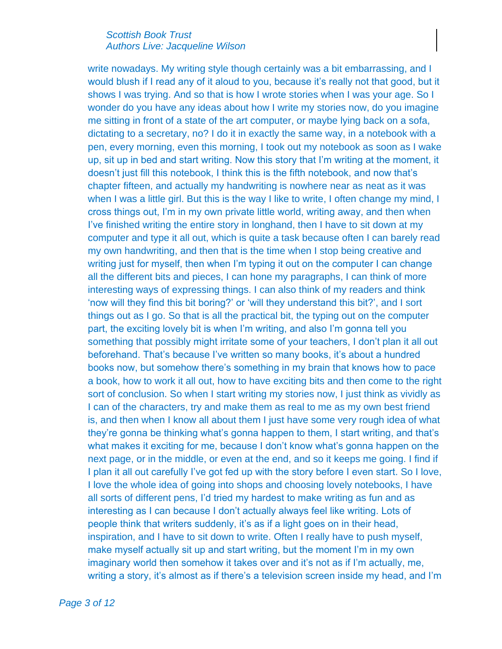write nowadays. My writing style though certainly was a bit embarrassing, and I would blush if I read any of it aloud to you, because it's really not that good, but it shows I was trying. And so that is how I wrote stories when I was your age. So I wonder do you have any ideas about how I write my stories now, do you imagine me sitting in front of a state of the art computer, or maybe lying back on a sofa, dictating to a secretary, no? I do it in exactly the same way, in a notebook with a pen, every morning, even this morning, I took out my notebook as soon as I wake up, sit up in bed and start writing. Now this story that I'm writing at the moment, it doesn't just fill this notebook, I think this is the fifth notebook, and now that's chapter fifteen, and actually my handwriting is nowhere near as neat as it was when I was a little girl. But this is the way I like to write, I often change my mind, I cross things out, I'm in my own private little world, writing away, and then when I've finished writing the entire story in longhand, then I have to sit down at my computer and type it all out, which is quite a task because often I can barely read my own handwriting, and then that is the time when I stop being creative and writing just for myself, then when I'm typing it out on the computer I can change all the different bits and pieces, I can hone my paragraphs, I can think of more interesting ways of expressing things. I can also think of my readers and think 'now will they find this bit boring?' or 'will they understand this bit?', and I sort things out as I go. So that is all the practical bit, the typing out on the computer part, the exciting lovely bit is when I'm writing, and also I'm gonna tell you something that possibly might irritate some of your teachers, I don't plan it all out beforehand. That's because I've written so many books, it's about a hundred books now, but somehow there's something in my brain that knows how to pace a book, how to work it all out, how to have exciting bits and then come to the right sort of conclusion. So when I start writing my stories now, I just think as vividly as I can of the characters, try and make them as real to me as my own best friend is, and then when I know all about them I just have some very rough idea of what they're gonna be thinking what's gonna happen to them, I start writing, and that's what makes it exciting for me, because I don't know what's gonna happen on the next page, or in the middle, or even at the end, and so it keeps me going. I find if I plan it all out carefully I've got fed up with the story before I even start. So I love, I love the whole idea of going into shops and choosing lovely notebooks, I have all sorts of different pens, I'd tried my hardest to make writing as fun and as interesting as I can because I don't actually always feel like writing. Lots of people think that writers suddenly, it's as if a light goes on in their head, inspiration, and I have to sit down to write. Often I really have to push myself, make myself actually sit up and start writing, but the moment I'm in my own imaginary world then somehow it takes over and it's not as if I'm actually, me, writing a story, it's almost as if there's a television screen inside my head, and I'm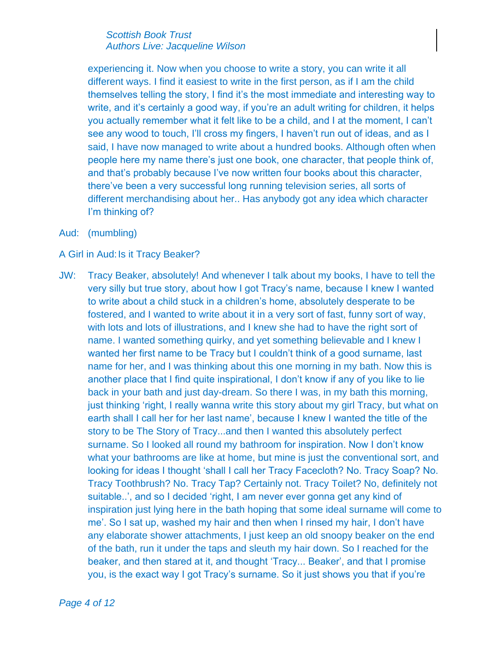experiencing it. Now when you choose to write a story, you can write it all different ways. I find it easiest to write in the first person, as if I am the child themselves telling the story, I find it's the most immediate and interesting way to write, and it's certainly a good way, if you're an adult writing for children, it helps you actually remember what it felt like to be a child, and I at the moment, I can't see any wood to touch, I'll cross my fingers, I haven't run out of ideas, and as I said, I have now managed to write about a hundred books. Although often when people here my name there's just one book, one character, that people think of, and that's probably because I've now written four books about this character, there've been a very successful long running television series, all sorts of different merchandising about her.. Has anybody got any idea which character I'm thinking of?

Aud: (mumbling)

## A Girl in Aud: Is it Tracy Beaker?

JW: Tracy Beaker, absolutely! And whenever I talk about my books, I have to tell the very silly but true story, about how I got Tracy's name, because I knew I wanted to write about a child stuck in a children's home, absolutely desperate to be fostered, and I wanted to write about it in a very sort of fast, funny sort of way, with lots and lots of illustrations, and I knew she had to have the right sort of name. I wanted something quirky, and yet something believable and I knew I wanted her first name to be Tracy but I couldn't think of a good surname, last name for her, and I was thinking about this one morning in my bath. Now this is another place that I find quite inspirational, I don't know if any of you like to lie back in your bath and just day-dream. So there I was, in my bath this morning, just thinking 'right, I really wanna write this story about my girl Tracy, but what on earth shall I call her for her last name', because I knew I wanted the title of the story to be The Story of Tracy...and then I wanted this absolutely perfect surname. So I looked all round my bathroom for inspiration. Now I don't know what your bathrooms are like at home, but mine is just the conventional sort, and looking for ideas I thought 'shall I call her Tracy Facecloth? No. Tracy Soap? No. Tracy Toothbrush? No. Tracy Tap? Certainly not. Tracy Toilet? No, definitely not suitable..', and so I decided 'right, I am never ever gonna get any kind of inspiration just lying here in the bath hoping that some ideal surname will come to me'. So I sat up, washed my hair and then when I rinsed my hair, I don't have any elaborate shower attachments, I just keep an old snoopy beaker on the end of the bath, run it under the taps and sleuth my hair down. So I reached for the beaker, and then stared at it, and thought 'Tracy... Beaker', and that I promise you, is the exact way I got Tracy's surname. So it just shows you that if you're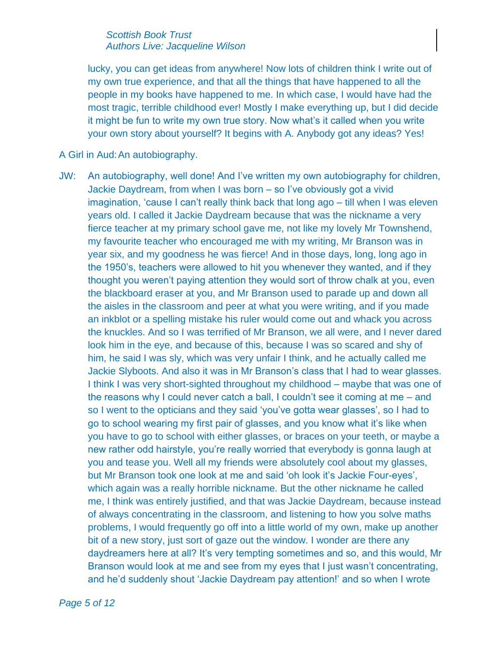lucky, you can get ideas from anywhere! Now lots of children think I write out of my own true experience, and that all the things that have happened to all the people in my books have happened to me. In which case, I would have had the most tragic, terrible childhood ever! Mostly I make everything up, but I did decide it might be fun to write my own true story. Now what's it called when you write your own story about yourself? It begins with A. Anybody got any ideas? Yes!

### A Girl in Aud:An autobiography.

JW: An autobiography, well done! And I've written my own autobiography for children, Jackie Daydream, from when I was born – so I've obviously got a vivid imagination, 'cause I can't really think back that long ago – till when I was eleven years old. I called it Jackie Daydream because that was the nickname a very fierce teacher at my primary school gave me, not like my lovely Mr Townshend, my favourite teacher who encouraged me with my writing, Mr Branson was in year six, and my goodness he was fierce! And in those days, long, long ago in the 1950's, teachers were allowed to hit you whenever they wanted, and if they thought you weren't paying attention they would sort of throw chalk at you, even the blackboard eraser at you, and Mr Branson used to parade up and down all the aisles in the classroom and peer at what you were writing, and if you made an inkblot or a spelling mistake his ruler would come out and whack you across the knuckles. And so I was terrified of Mr Branson, we all were, and I never dared look him in the eye, and because of this, because I was so scared and shy of him, he said I was sly, which was very unfair I think, and he actually called me Jackie Slyboots. And also it was in Mr Branson's class that I had to wear glasses. I think I was very short-sighted throughout my childhood – maybe that was one of the reasons why I could never catch a ball, I couldn't see it coming at me – and so I went to the opticians and they said 'you've gotta wear glasses', so I had to go to school wearing my first pair of glasses, and you know what it's like when you have to go to school with either glasses, or braces on your teeth, or maybe a new rather odd hairstyle, you're really worried that everybody is gonna laugh at you and tease you. Well all my friends were absolutely cool about my glasses, but Mr Branson took one look at me and said 'oh look it's Jackie Four-eyes', which again was a really horrible nickname. But the other nickname he called me, I think was entirely justified, and that was Jackie Daydream, because instead of always concentrating in the classroom, and listening to how you solve maths problems, I would frequently go off into a little world of my own, make up another bit of a new story, just sort of gaze out the window. I wonder are there any daydreamers here at all? It's very tempting sometimes and so, and this would, Mr Branson would look at me and see from my eyes that I just wasn't concentrating, and he'd suddenly shout 'Jackie Daydream pay attention!' and so when I wrote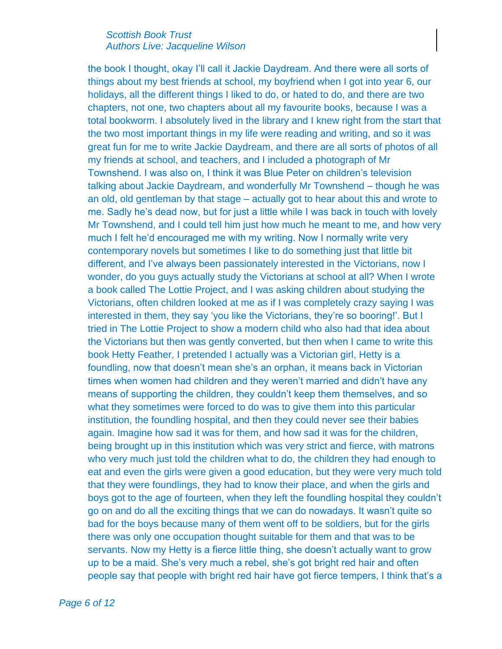the book I thought, okay I'll call it Jackie Daydream. And there were all sorts of things about my best friends at school, my boyfriend when I got into year 6, our holidays, all the different things I liked to do, or hated to do, and there are two chapters, not one, two chapters about all my favourite books, because I was a total bookworm. I absolutely lived in the library and I knew right from the start that the two most important things in my life were reading and writing, and so it was great fun for me to write Jackie Daydream, and there are all sorts of photos of all my friends at school, and teachers, and I included a photograph of Mr Townshend. I was also on, I think it was Blue Peter on children's television talking about Jackie Daydream, and wonderfully Mr Townshend – though he was an old, old gentleman by that stage – actually got to hear about this and wrote to me. Sadly he's dead now, but for just a little while I was back in touch with lovely Mr Townshend, and I could tell him just how much he meant to me, and how very much I felt he'd encouraged me with my writing. Now I normally write very contemporary novels but sometimes I like to do something just that little bit different, and I've always been passionately interested in the Victorians, now I wonder, do you guys actually study the Victorians at school at all? When I wrote a book called The Lottie Project, and I was asking children about studying the Victorians, often children looked at me as if I was completely crazy saying I was interested in them, they say 'you like the Victorians, they're so booring!'. But I tried in The Lottie Project to show a modern child who also had that idea about the Victorians but then was gently converted, but then when I came to write this book Hetty Feather, I pretended I actually was a Victorian girl, Hetty is a foundling, now that doesn't mean she's an orphan, it means back in Victorian times when women had children and they weren't married and didn't have any means of supporting the children, they couldn't keep them themselves, and so what they sometimes were forced to do was to give them into this particular institution, the foundling hospital, and then they could never see their babies again. Imagine how sad it was for them, and how sad it was for the children, being brought up in this institution which was very strict and fierce, with matrons who very much just told the children what to do, the children they had enough to eat and even the girls were given a good education, but they were very much told that they were foundlings, they had to know their place, and when the girls and boys got to the age of fourteen, when they left the foundling hospital they couldn't go on and do all the exciting things that we can do nowadays. It wasn't quite so bad for the boys because many of them went off to be soldiers, but for the girls there was only one occupation thought suitable for them and that was to be servants. Now my Hetty is a fierce little thing, she doesn't actually want to grow up to be a maid. She's very much a rebel, she's got bright red hair and often people say that people with bright red hair have got fierce tempers, I think that's a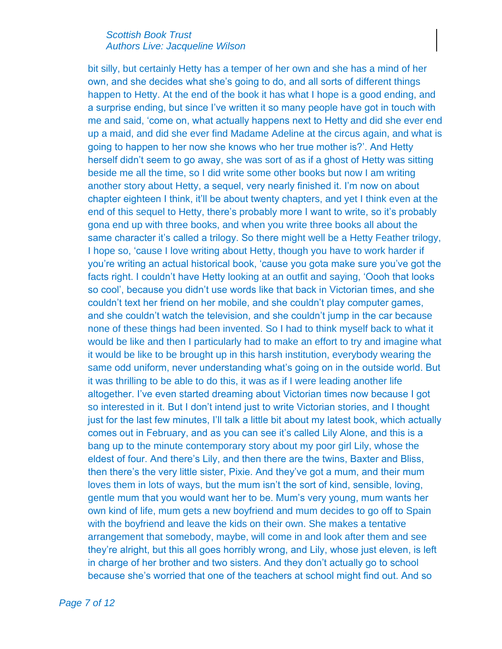bit silly, but certainly Hetty has a temper of her own and she has a mind of her own, and she decides what she's going to do, and all sorts of different things happen to Hetty. At the end of the book it has what I hope is a good ending, and a surprise ending, but since I've written it so many people have got in touch with me and said, 'come on, what actually happens next to Hetty and did she ever end up a maid, and did she ever find Madame Adeline at the circus again, and what is going to happen to her now she knows who her true mother is?'. And Hetty herself didn't seem to go away, she was sort of as if a ghost of Hetty was sitting beside me all the time, so I did write some other books but now I am writing another story about Hetty, a sequel, very nearly finished it. I'm now on about chapter eighteen I think, it'll be about twenty chapters, and yet I think even at the end of this sequel to Hetty, there's probably more I want to write, so it's probably gona end up with three books, and when you write three books all about the same character it's called a trilogy. So there might well be a Hetty Feather trilogy, I hope so, 'cause I love writing about Hetty, though you have to work harder if you're writing an actual historical book, 'cause you gota make sure you've got the facts right. I couldn't have Hetty looking at an outfit and saying, 'Oooh that looks so cool', because you didn't use words like that back in Victorian times, and she couldn't text her friend on her mobile, and she couldn't play computer games, and she couldn't watch the television, and she couldn't jump in the car because none of these things had been invented. So I had to think myself back to what it would be like and then I particularly had to make an effort to try and imagine what it would be like to be brought up in this harsh institution, everybody wearing the same odd uniform, never understanding what's going on in the outside world. But it was thrilling to be able to do this, it was as if I were leading another life altogether. I've even started dreaming about Victorian times now because I got so interested in it. But I don't intend just to write Victorian stories, and I thought just for the last few minutes, I'll talk a little bit about my latest book, which actually comes out in February, and as you can see it's called Lily Alone, and this is a bang up to the minute contemporary story about my poor girl Lily, whose the eldest of four. And there's Lily, and then there are the twins, Baxter and Bliss, then there's the very little sister, Pixie. And they've got a mum, and their mum loves them in lots of ways, but the mum isn't the sort of kind, sensible, loving, gentle mum that you would want her to be. Mum's very young, mum wants her own kind of life, mum gets a new boyfriend and mum decides to go off to Spain with the boyfriend and leave the kids on their own. She makes a tentative arrangement that somebody, maybe, will come in and look after them and see they're alright, but this all goes horribly wrong, and Lily, whose just eleven, is left in charge of her brother and two sisters. And they don't actually go to school because she's worried that one of the teachers at school might find out. And so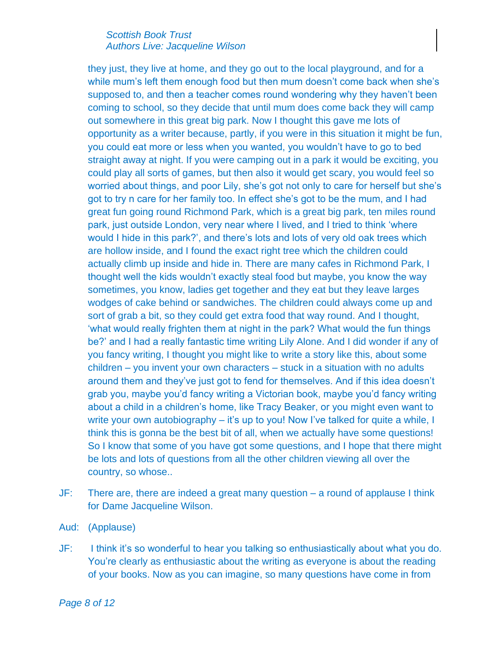they just, they live at home, and they go out to the local playground, and for a while mum's left them enough food but then mum doesn't come back when she's supposed to, and then a teacher comes round wondering why they haven't been coming to school, so they decide that until mum does come back they will camp out somewhere in this great big park. Now I thought this gave me lots of opportunity as a writer because, partly, if you were in this situation it might be fun, you could eat more or less when you wanted, you wouldn't have to go to bed straight away at night. If you were camping out in a park it would be exciting, you could play all sorts of games, but then also it would get scary, you would feel so worried about things, and poor Lily, she's got not only to care for herself but she's got to try n care for her family too. In effect she's got to be the mum, and I had great fun going round Richmond Park, which is a great big park, ten miles round park, just outside London, very near where I lived, and I tried to think 'where would I hide in this park?', and there's lots and lots of very old oak trees which are hollow inside, and I found the exact right tree which the children could actually climb up inside and hide in. There are many cafes in Richmond Park, I thought well the kids wouldn't exactly steal food but maybe, you know the way sometimes, you know, ladies get together and they eat but they leave larges wodges of cake behind or sandwiches. The children could always come up and sort of grab a bit, so they could get extra food that way round. And I thought, 'what would really frighten them at night in the park? What would the fun things be?' and I had a really fantastic time writing Lily Alone. And I did wonder if any of you fancy writing, I thought you might like to write a story like this, about some children – you invent your own characters – stuck in a situation with no adults around them and they've just got to fend for themselves. And if this idea doesn't grab you, maybe you'd fancy writing a Victorian book, maybe you'd fancy writing about a child in a children's home, like Tracy Beaker, or you might even want to write your own autobiography – it's up to you! Now I've talked for quite a while, I think this is gonna be the best bit of all, when we actually have some questions! So I know that some of you have got some questions, and I hope that there might be lots and lots of questions from all the other children viewing all over the country, so whose..

- JF: There are, there are indeed a great many question a round of applause I think for Dame Jacqueline Wilson.
- Aud: (Applause)
- JF: I think it's so wonderful to hear you talking so enthusiastically about what you do. You're clearly as enthusiastic about the writing as everyone is about the reading of your books. Now as you can imagine, so many questions have come in from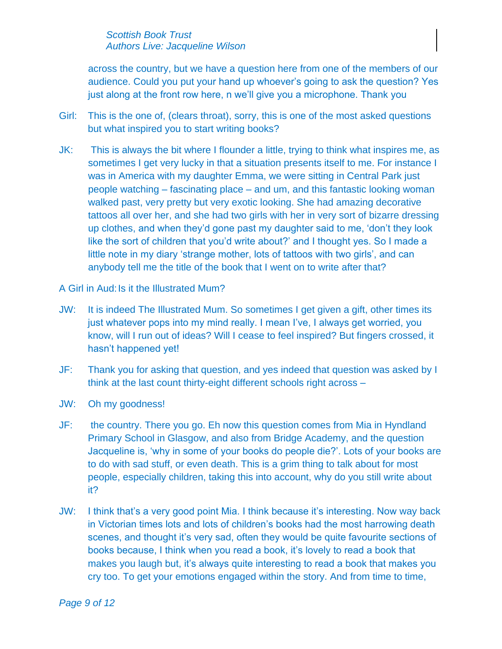across the country, but we have a question here from one of the members of our audience. Could you put your hand up whoever's going to ask the question? Yes just along at the front row here, n we'll give you a microphone. Thank you

- Girl: This is the one of, (clears throat), sorry, this is one of the most asked questions but what inspired you to start writing books?
- JK: This is always the bit where I flounder a little, trying to think what inspires me, as sometimes I get very lucky in that a situation presents itself to me. For instance I was in America with my daughter Emma, we were sitting in Central Park just people watching – fascinating place – and um, and this fantastic looking woman walked past, very pretty but very exotic looking. She had amazing decorative tattoos all over her, and she had two girls with her in very sort of bizarre dressing up clothes, and when they'd gone past my daughter said to me, 'don't they look like the sort of children that you'd write about?' and I thought yes. So I made a little note in my diary 'strange mother, lots of tattoos with two girls', and can anybody tell me the title of the book that I went on to write after that?

A Girl in Aud: Is it the Illustrated Mum?

- JW: It is indeed The Illustrated Mum. So sometimes I get given a gift, other times its just whatever pops into my mind really. I mean I've, I always get worried, you know, will I run out of ideas? Will I cease to feel inspired? But fingers crossed, it hasn't happened yet!
- JF: Thank you for asking that question, and yes indeed that question was asked by I think at the last count thirty-eight different schools right across –
- JW: Oh my goodness!
- JF: the country. There you go. Eh now this question comes from Mia in Hyndland Primary School in Glasgow, and also from Bridge Academy, and the question Jacqueline is, 'why in some of your books do people die?'. Lots of your books are to do with sad stuff, or even death. This is a grim thing to talk about for most people, especially children, taking this into account, why do you still write about it?
- JW: I think that's a very good point Mia. I think because it's interesting. Now way back in Victorian times lots and lots of children's books had the most harrowing death scenes, and thought it's very sad, often they would be quite favourite sections of books because, I think when you read a book, it's lovely to read a book that makes you laugh but, it's always quite interesting to read a book that makes you cry too. To get your emotions engaged within the story. And from time to time,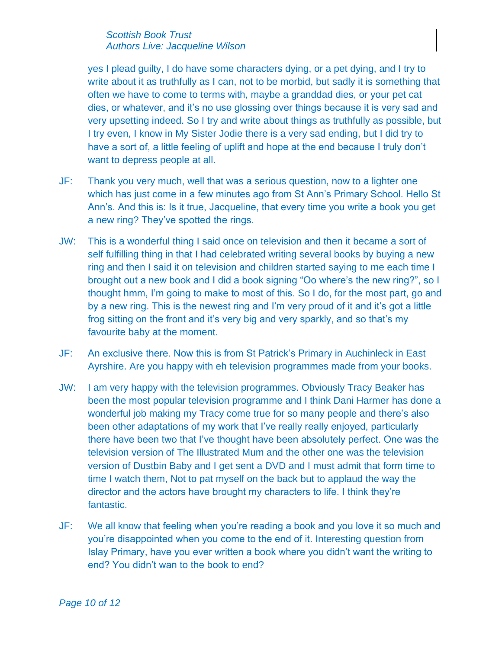yes I plead guilty, I do have some characters dying, or a pet dying, and I try to write about it as truthfully as I can, not to be morbid, but sadly it is something that often we have to come to terms with, maybe a granddad dies, or your pet cat dies, or whatever, and it's no use glossing over things because it is very sad and very upsetting indeed. So I try and write about things as truthfully as possible, but I try even, I know in My Sister Jodie there is a very sad ending, but I did try to have a sort of, a little feeling of uplift and hope at the end because I truly don't want to depress people at all.

- JF: Thank you very much, well that was a serious question, now to a lighter one which has just come in a few minutes ago from St Ann's Primary School. Hello St Ann's. And this is: Is it true, Jacqueline, that every time you write a book you get a new ring? They've spotted the rings.
- JW: This is a wonderful thing I said once on television and then it became a sort of self fulfilling thing in that I had celebrated writing several books by buying a new ring and then I said it on television and children started saying to me each time I brought out a new book and I did a book signing "Oo where's the new ring?", so I thought hmm, I'm going to make to most of this. So I do, for the most part, go and by a new ring. This is the newest ring and I'm very proud of it and it's got a little frog sitting on the front and it's very big and very sparkly, and so that's my favourite baby at the moment.
- JF: An exclusive there. Now this is from St Patrick's Primary in Auchinleck in East Ayrshire. Are you happy with eh television programmes made from your books.
- JW: I am very happy with the television programmes. Obviously Tracy Beaker has been the most popular television programme and I think Dani Harmer has done a wonderful job making my Tracy come true for so many people and there's also been other adaptations of my work that I've really really enjoyed, particularly there have been two that I've thought have been absolutely perfect. One was the television version of The Illustrated Mum and the other one was the television version of Dustbin Baby and I get sent a DVD and I must admit that form time to time I watch them, Not to pat myself on the back but to applaud the way the director and the actors have brought my characters to life. I think they're fantastic.
- JF: We all know that feeling when you're reading a book and you love it so much and you're disappointed when you come to the end of it. Interesting question from Islay Primary, have you ever written a book where you didn't want the writing to end? You didn't wan to the book to end?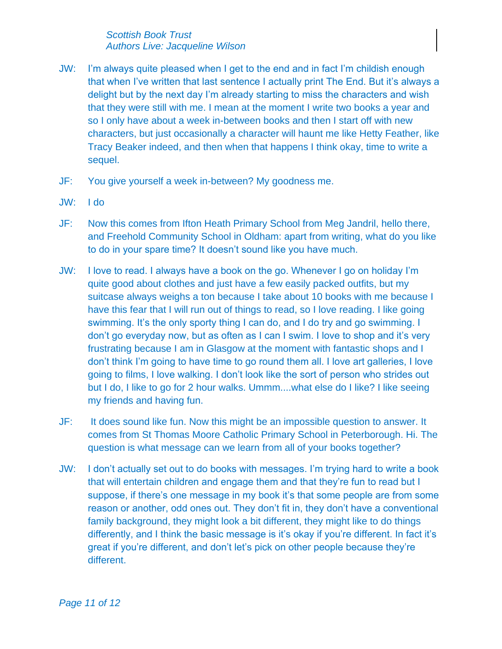- JW: I'm always quite pleased when I get to the end and in fact I'm childish enough that when I've written that last sentence I actually print The End. But it's always a delight but by the next day I'm already starting to miss the characters and wish that they were still with me. I mean at the moment I write two books a year and so I only have about a week in-between books and then I start off with new characters, but just occasionally a character will haunt me like Hetty Feather, like Tracy Beaker indeed, and then when that happens I think okay, time to write a sequel.
- JF: You give yourself a week in-between? My goodness me.
- JW: I do
- JF: Now this comes from Ifton Heath Primary School from Meg Jandril, hello there, and Freehold Community School in Oldham: apart from writing, what do you like to do in your spare time? It doesn't sound like you have much.
- JW: I love to read. I always have a book on the go. Whenever I go on holiday I'm quite good about clothes and just have a few easily packed outfits, but my suitcase always weighs a ton because I take about 10 books with me because I have this fear that I will run out of things to read, so I love reading. I like going swimming. It's the only sporty thing I can do, and I do try and go swimming. I don't go everyday now, but as often as I can I swim. I love to shop and it's very frustrating because I am in Glasgow at the moment with fantastic shops and I don't think I'm going to have time to go round them all. I love art galleries, I love going to films, I love walking. I don't look like the sort of person who strides out but I do, I like to go for 2 hour walks. Ummm....what else do I like? I like seeing my friends and having fun.
- JF: It does sound like fun. Now this might be an impossible question to answer. It comes from St Thomas Moore Catholic Primary School in Peterborough. Hi. The question is what message can we learn from all of your books together?
- JW: I don't actually set out to do books with messages. I'm trying hard to write a book that will entertain children and engage them and that they're fun to read but I suppose, if there's one message in my book it's that some people are from some reason or another, odd ones out. They don't fit in, they don't have a conventional family background, they might look a bit different, they might like to do things differently, and I think the basic message is it's okay if you're different. In fact it's great if you're different, and don't let's pick on other people because they're different.